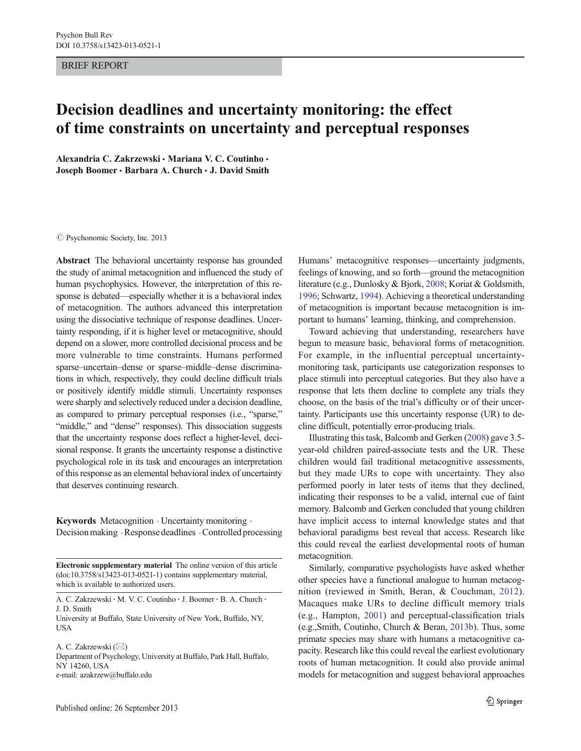# BRIEF REPORT

# Decision deadlines and uncertainty monitoring: the effect of time constraints on uncertainty and perceptual responses

Alexandria C. Zakrzewski • Mariana V. C. Coutinho • Joseph Boomer · Barbara A. Church · J. David Smith

© Psychonomic Society, Inc. 2013

Abstract The behavioral uncertainty response has grounded the study of animal metacognition and influenced the study of human psychophysics. However, the interpretation of this response is debated—especially whether it is a behavioral index of metacognition. The authors advanced this interpretation using the dissociative technique of response deadlines. Uncertainty responding, if it is higher level or metacognitive, should depend on a slower, more controlled decisional process and be more vulnerable to time constraints. Humans performed sparse–uncertain–dense or sparse–middle–dense discriminations in which, respectively, they could decline difficult trials or positively identify middle stimuli. Uncertainty responses were sharply and selectively reduced under a decision deadline, as compared to primary perceptual responses (i.e., "sparse," "middle," and "dense" responses). This dissociation suggests that the uncertainty response does reflect a higher-level, decisional response. It grants the uncertainty response a distinctive psychological role in its task and encourages an interpretation of this response as an elemental behavioral index of uncertainty that deserves continuing research.

Keywords Metacognition . Uncertainty monitoring . Decision making . Response deadlines . Controlled processing

Electronic supplementary material The online version of this article (doi:10.3758/s13423-013-0521-1) contains supplementary material, which is available to authorized users.

A. C. Zakrzewski : M. V. C. Coutinho : J. Boomer: B. A. Church : J. D. Smith

University at Buffalo, State University of New York, Buffalo, NY, USA

A. C. Zakrzewski  $(\boxtimes)$ Department of Psychology, University at Buffalo, Park Hall, Buffalo, NY 14260, USA e-mail: azakrzew@buffalo.edu

Published online: 26 September 2013

Humans' metacognitive responses—uncertainty judgments, feelings of knowing, and so forth—ground the metacognition literature (e.g., Dunlosky & Bjork, 2008; Koriat & Goldsmith, 1996; Schwartz, 1994). Achieving a theoretical understanding of metacognition is important because metacognition is important to humans' learning, thinking, and comprehension.

Toward achieving that understanding, researchers have begun to measure basic, behavioral forms of metacognition. For example, in the influential perceptual uncertaintymonitoring task, participants use categorization responses to place stimuli into perceptual categories. But they also have a response that lets them decline to complete any trials they choose, on the basis of the trial's difficulty or of their uncertainty. Participants use this uncertainty response (UR) to decline difficult, potentially error-producing trials.

Illustrating this task, Balcomb and Gerken (2008) gave 3.5 year-old children paired-associate tests and the UR. These children would fail traditional metacognitive assessments, but they made URs to cope with uncertainty. They also performed poorly in later tests of items that they declined, indicating their responses to be a valid, internal cue of faint memory. Balcomb and Gerken concluded that young children have implicit access to internal knowledge states and that behavioral paradigms best reveal that access. Research like this could reveal the earliest developmental roots of human metacognition.

Similarly, comparative psychologists have asked whether other species have a functional analogue to human metacognition (reviewed in Smith, Beran, & Couchman, 2012). Macaques make URs to decline difficult memory trials (e.g., Hampton, 2001) and perceptual-classification trials (e.g.,Smith, Coutinho, Church & Beran, 2013b). Thus, some primate species may share with humans a metacognitive capacity. Research like this could reveal the earliest evolutionary roots of human metacognition. It could also provide animal models for metacognition and suggest behavioral approaches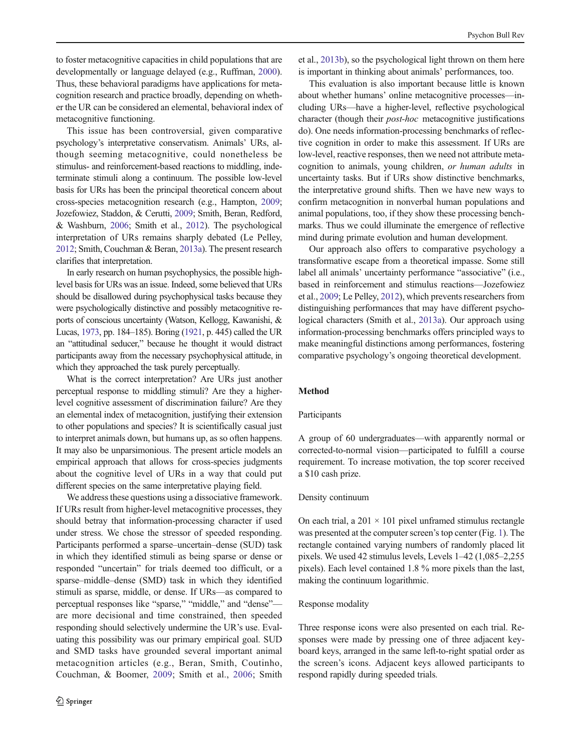to foster metacognitive capacities in child populations that are developmentally or language delayed (e.g., Ruffman, 2000). Thus, these behavioral paradigms have applications for metacognition research and practice broadly, depending on whether the UR can be considered an elemental, behavioral index of metacognitive functioning.

This issue has been controversial, given comparative psychology's interpretative conservatism. Animals' URs, although seeming metacognitive, could nonetheless be stimulus- and reinforcement-based reactions to middling, indeterminate stimuli along a continuum. The possible low-level basis for URs has been the principal theoretical concern about cross-species metacognition research (e.g., Hampton, 2009; Jozefowiez, Staddon, & Cerutti, 2009; Smith, Beran, Redford, & Washburn, 2006; Smith et al., 2012). The psychological interpretation of URs remains sharply debated (Le Pelley, 2012; Smith, Couchman & Beran, 2013a). The present research clarifies that interpretation.

In early research on human psychophysics, the possible highlevel basis for URs was an issue. Indeed, some believed that URs should be disallowed during psychophysical tasks because they were psychologically distinctive and possibly metacognitive reports of conscious uncertainty (Watson, Kellogg, Kawanishi, & Lucas, 1973, pp. 184–185). Boring (1921, p. 445) called the UR an "attitudinal seducer," because he thought it would distract participants away from the necessary psychophysical attitude, in which they approached the task purely perceptually.

What is the correct interpretation? Are URs just another perceptual response to middling stimuli? Are they a higherlevel cognitive assessment of discrimination failure? Are they an elemental index of metacognition, justifying their extension to other populations and species? It is scientifically casual just to interpret animals down, but humans up, as so often happens. It may also be unparsimonious. The present article models an empirical approach that allows for cross-species judgments about the cognitive level of URs in a way that could put different species on the same interpretative playing field.

We address these questions using a dissociative framework. If URs result from higher-level metacognitive processes, they should betray that information-processing character if used under stress. We chose the stressor of speeded responding. Participants performed a sparse–uncertain–dense (SUD) task in which they identified stimuli as being sparse or dense or responded "uncertain" for trials deemed too difficult, or a sparse–middle–dense (SMD) task in which they identified stimuli as sparse, middle, or dense. If URs—as compared to perceptual responses like "sparse," "middle," and "dense" are more decisional and time constrained, then speeded responding should selectively undermine the UR's use. Evaluating this possibility was our primary empirical goal. SUD and SMD tasks have grounded several important animal metacognition articles (e.g., Beran, Smith, Coutinho, Couchman, & Boomer, 2009; Smith et al., 2006; Smith

et al., 2013b), so the psychological light thrown on them here is important in thinking about animals' performances, too.

This evaluation is also important because little is known about whether humans' online metacognitive processes—including URs—have a higher-level, reflective psychological character (though their *post-hoc* metacognitive justifications do). One needs information-processing benchmarks of reflective cognition in order to make this assessment. If URs are low-level, reactive responses, then we need not attribute metacognition to animals, young children, or human adults in uncertainty tasks. But if URs show distinctive benchmarks, the interpretative ground shifts. Then we have new ways to confirm metacognition in nonverbal human populations and animal populations, too, if they show these processing benchmarks. Thus we could illuminate the emergence of reflective mind during primate evolution and human development.

Our approach also offers to comparative psychology a transformative escape from a theoretical impasse. Some still label all animals' uncertainty performance "associative" (i.e., based in reinforcement and stimulus reactions—Jozefowiez et al., 2009; Le Pelley, 2012), which prevents researchers from distinguishing performances that may have different psychological characters (Smith et al., 2013a). Our approach using information-processing benchmarks offers principled ways to make meaningful distinctions among performances, fostering comparative psychology's ongoing theoretical development.

## Method

#### Participants

A group of 60 undergraduates—with apparently normal or corrected-to-normal vision—participated to fulfill a course requirement. To increase motivation, the top scorer received a \$10 cash prize.

#### Density continuum

On each trial, a  $201 \times 101$  pixel unframed stimulus rectangle was presented at the computer screen's top center (Fig. 1). The rectangle contained varying numbers of randomly placed lit pixels. We used 42 stimulus levels, Levels 1–42 (1,085–2,255 pixels). Each level contained 1.8 % more pixels than the last, making the continuum logarithmic.

## Response modality

Three response icons were also presented on each trial. Responses were made by pressing one of three adjacent keyboard keys, arranged in the same left-to-right spatial order as the screen's icons. Adjacent keys allowed participants to respond rapidly during speeded trials.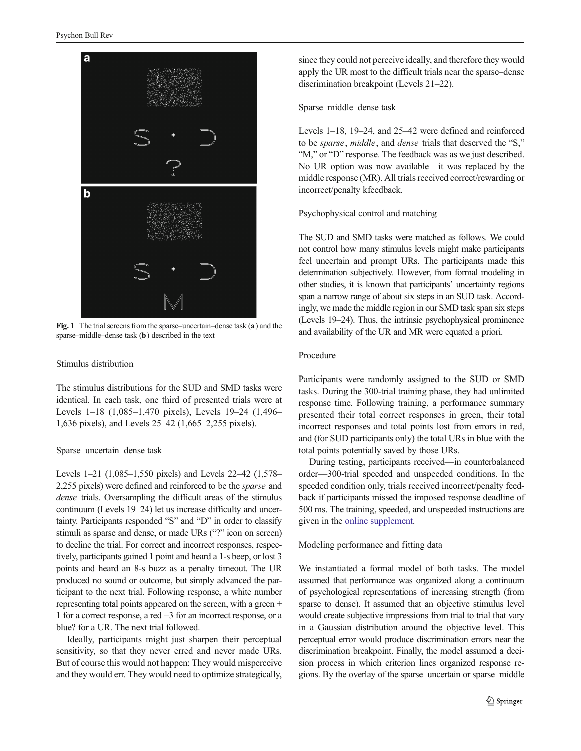

Fig. 1 The trial screens from the sparse–uncertain–dense task (a) and the sparse–middle–dense task (b) described in the text

## Stimulus distribution

The stimulus distributions for the SUD and SMD tasks were identical. In each task, one third of presented trials were at Levels 1–18 (1,085–1,470 pixels), Levels 19–24 (1,496– 1,636 pixels), and Levels 25–42 (1,665–2,255 pixels).

#### Sparse–uncertain–dense task

Levels 1–21 (1,085–1,550 pixels) and Levels 22–42 (1,578– 2,255 pixels) were defined and reinforced to be the *sparse* and dense trials. Oversampling the difficult areas of the stimulus continuum (Levels 19–24) let us increase difficulty and uncertainty. Participants responded "S" and "D" in order to classify stimuli as sparse and dense, or made URs ("?" icon on screen) to decline the trial. For correct and incorrect responses, respectively, participants gained 1 point and heard a 1-s beep, or lost 3 points and heard an 8-s buzz as a penalty timeout. The UR produced no sound or outcome, but simply advanced the participant to the next trial. Following response, a white number representing total points appeared on the screen, with a green + 1 for a correct response, a red −3 for an incorrect response, or a blue? for a UR. The next trial followed.

Ideally, participants might just sharpen their perceptual sensitivity, so that they never erred and never made URs. But of course this would not happen: They would misperceive and they would err. They would need to optimize strategically,

since they could not perceive ideally, and therefore they would apply the UR most to the difficult trials near the sparse–dense discrimination breakpoint (Levels 21–22).

#### Sparse–middle–dense task

Levels 1–18, 19–24, and 25–42 were defined and reinforced to be sparse, middle, and dense trials that deserved the "S," "M," or "D" response. The feedback was as we just described. No UR option was now available—it was replaced by the middle response (MR). All trials received correct/rewarding or incorrect/penalty kfeedback.

#### Psychophysical control and matching

The SUD and SMD tasks were matched as follows. We could not control how many stimulus levels might make participants feel uncertain and prompt URs. The participants made this determination subjectively. However, from formal modeling in other studies, it is known that participants' uncertainty regions span a narrow range of about six steps in an SUD task. Accordingly, we made the middle region in our SMD task span six steps (Levels 19–24). Thus, the intrinsic psychophysical prominence and availability of the UR and MR were equated a priori.

## Procedure

Participants were randomly assigned to the SUD or SMD tasks. During the 300-trial training phase, they had unlimited response time. Following training, a performance summary presented their total correct responses in green, their total incorrect responses and total points lost from errors in red, and (for SUD participants only) the total URs in blue with the total points potentially saved by those URs.

During testing, participants received—in counterbalanced order—300-trial speeded and unspeeded conditions. In the speeded condition only, trials received incorrect/penalty feedback if participants missed the imposed response deadline of 500 ms. The training, speeded, and unspeeded instructions are given in the online supplement.

#### Modeling performance and fitting data

We instantiated a formal model of both tasks. The model assumed that performance was organized along a continuum of psychological representations of increasing strength (from sparse to dense). It assumed that an objective stimulus level would create subjective impressions from trial to trial that vary in a Gaussian distribution around the objective level. This perceptual error would produce discrimination errors near the discrimination breakpoint. Finally, the model assumed a decision process in which criterion lines organized response regions. By the overlay of the sparse–uncertain or sparse–middle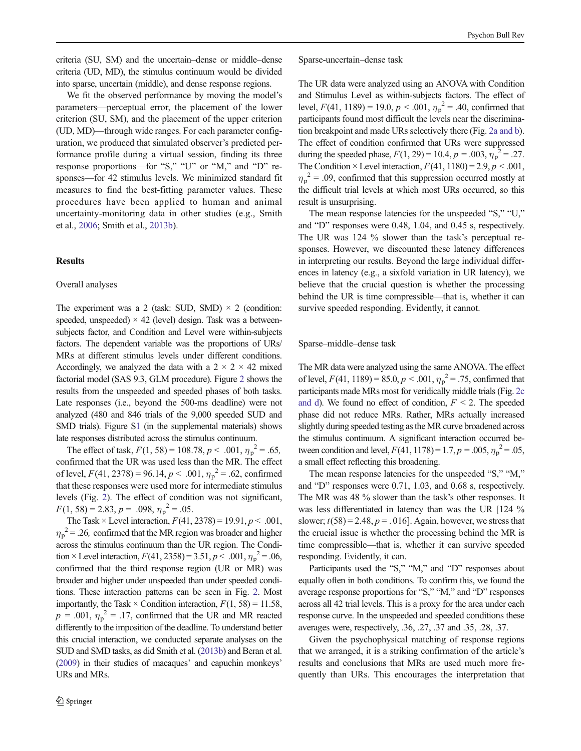criteria (SU, SM) and the uncertain–dense or middle–dense criteria (UD, MD), the stimulus continuum would be divided into sparse, uncertain (middle), and dense response regions.

We fit the observed performance by moving the model's parameters—perceptual error, the placement of the lower criterion (SU, SM), and the placement of the upper criterion (UD, MD)—through wide ranges. For each parameter configuration, we produced that simulated observer's predicted performance profile during a virtual session, finding its three response proportions—for "S," "U" or "M," and "D" responses—for 42 stimulus levels. We minimized standard fit measures to find the best-fitting parameter values. These procedures have been applied to human and animal uncertainty-monitoring data in other studies (e.g., Smith et al., 2006; Smith et al., 2013b).

## **Results**

#### Overall analyses

The experiment was a 2 (task: SUD, SMD)  $\times$  2 (condition: speeded, unspeeded)  $\times$  42 (level) design. Task was a betweensubjects factor, and Condition and Level were within-subjects factors. The dependent variable was the proportions of URs/ MRs at different stimulus levels under different conditions. Accordingly, we analyzed the data with a  $2 \times 2 \times 42$  mixed factorial model (SAS 9.3, GLM procedure). Figure 2 shows the results from the unspeeded and speeded phases of both tasks. Late responses (i.e., beyond the 500-ms deadline) were not analyzed (480 and 846 trials of the 9,000 speeded SUD and SMD trials). Figure S1 (in the supplemental materials) shows late responses distributed across the stimulus continuum.

The effect of task,  $F(1, 58) = 108.78, p < .001, \eta_p^2 = .65$ , confirmed that the UR was used less than the MR. The effect of level,  $F(41, 2378) = 96.14, p < .001, \eta_p^2 = .62$ , confirmed that these responses were used more for intermediate stimulus levels (Fig. 2). The effect of condition was not significant,  $F(1, 58) = 2.83, p = .098, \eta_p^2 = .05.$ 

The Task  $\times$  Level interaction,  $F(41, 2378) = 19.91, p < .001$ ,  $\eta_p^2$  = .26, confirmed that the MR region was broader and higher across the stimulus continuum than the UR region. The Condition × Level interaction,  $F(41, 2358) = 3.51, p < .001, \eta_p^2 = .06$ , confirmed that the third response region (UR or MR) was broader and higher under unspeeded than under speeded conditions. These interaction patterns can be seen in Fig. 2. Most importantly, the Task  $\times$  Condition interaction,  $F(1, 58) = 11.58$ ,  $p = .001$ ,  $\eta_p^2 = .17$ , confirmed that the UR and MR reacted differently to the imposition of the deadline. To understand better this crucial interaction, we conducted separate analyses on the SUD and SMD tasks, as did Smith et al. (2013b) and Beran et al. (2009) in their studies of macaques' and capuchin monkeys' URs and MRs.

Sparse-uncertain–dense task

The UR data were analyzed using an ANOVA with Condition and Stimulus Level as within-subjects factors. The effect of level,  $F(41, 1189) = 19.0, p < .001, \eta_p^2 = .40$ , confirmed that participants found most difficult the levels near the discrimination breakpoint and made URs selectively there (Fig. 2a and b). The effect of condition confirmed that URs were suppressed during the speeded phase,  $F(1, 29) = 10.4$ ,  $p = .003$ ,  $\eta_p^2 = .27$ . The Condition  $\times$  Level interaction,  $F(41, 1180) = 2.9, p \lt 0.001$ ,  $\eta_p^2$  = .09, confirmed that this suppression occurred mostly at the difficult trial levels at which most URs occurred, so this result is unsurprising.

The mean response latencies for the unspeeded "S," "U," and "D" responses were 0.48, 1.04, and 0.45 s, respectively. The UR was 124 % slower than the task's perceptual responses. However, we discounted these latency differences in interpreting our results. Beyond the large individual differences in latency (e.g., a sixfold variation in UR latency), we believe that the crucial question is whether the processing behind the UR is time compressible—that is, whether it can survive speeded responding. Evidently, it cannot.

Sparse–middle–dense task

The MR data were analyzed using the same ANOVA. The effect of level,  $F(41, 1189) = 85.0, p < .001, \eta_p^2 = .75$ , confirmed that participants made MRs most for veridically middle trials (Fig. 2c and d). We found no effect of condition,  $F \leq 2$ . The speeded phase did not reduce MRs. Rather, MRs actually increased slightly during speeded testing as the MR curve broadened across the stimulus continuum. A significant interaction occurred between condition and level,  $F(41, 1178) = 1.7, p = .005, \eta_p^2 = .05$ , a small effect reflecting this broadening.

The mean response latencies for the unspeeded "S," "M," and "D" responses were 0.71, 1.03, and 0.68 s, respectively. The MR was 48 % slower than the task's other responses. It was less differentiated in latency than was the UR [124 % slower;  $t(58) = 2.48$ ,  $p = .016$ . Again, however, we stress that the crucial issue is whether the processing behind the MR is time compressible—that is, whether it can survive speeded responding. Evidently, it can.

Participants used the "S," "M," and "D" responses about equally often in both conditions. To confirm this, we found the average response proportions for "S," "M," and "D" responses across all 42 trial levels. This is a proxy for the area under each response curve. In the unspeeded and speeded conditions these averages were, respectively, .36, .27, .37 and .35, .28, .37.

Given the psychophysical matching of response regions that we arranged, it is a striking confirmation of the article's results and conclusions that MRs are used much more frequently than URs. This encourages the interpretation that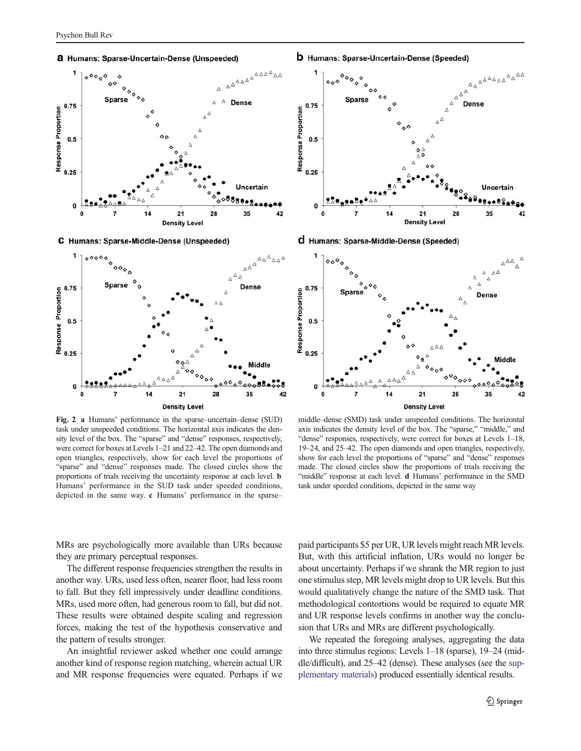#### **a** Humans: Sparse-Uncertain-Dense (Unspeeded)



C Humans: Sparse-Middle-Dense (Unspeeded)



Fig. 2 a Humans' performance in the sparse–uncertain–dense (SUD) task under unspeeded conditions. The horizontal axis indicates the density level of the box. The "sparse" and "dense" responses, respectively, were correct for boxes at Levels 1–21 and 22–42. The open diamonds and open triangles, respectively, show for each level the proportions of "sparse" and "dense" responses made. The closed circles show the proportions of trials receiving the uncertainty response at each level. b Humans' performance in the SUD task under speeded conditions, depicted in the same way. c Humans' performance in the sparse–

**b** Humans: Sparse-Uncertain-Dense (Speeded)



d Humans: Sparse-Middle-Dense (Speeded)



middle–dense (SMD) task under unspeeded conditions. The horizontal axis indicates the density level of the box. The "sparse," "middle," and "dense" responses, respectively, were correct for boxes at Levels 1–18, 19–24, and 25–42. The open diamonds and open triangles, respectively, show for each level the proportions of "sparse" and "dense" responses made. The closed circles show the proportions of trials receiving the "middle" response at each level. **d** Humans' performance in the SMD task under speeded conditions, depicted in the same way

MRs are psychologically more available than URs because they are primary perceptual responses.

The different response frequencies strengthen the results in another way. URs, used less often, nearer floor, had less room to fall. But they fell impressively under deadline conditions. MRs, used more often, had generous room to fall, but did not. These results were obtained despite scaling and regression forces, making the test of the hypothesis conservative and the pattern of results stronger.

An insightful reviewer asked whether one could arrange another kind of response region matching, wherein actual UR and MR response frequencies were equated. Perhaps if we

paid participants \$5 per UR, UR levels might reach MR levels. But, with this artificial inflation, URs would no longer be about uncertainty. Perhaps if we shrank the MR region to just one stimulus step, MR levels might drop to UR levels. But this would qualitatively change the nature of the SMD task. That methodological contortions would be required to equate MR and UR response levels confirms in another way the conclusion that URs and MRs are different psychologically.

We repeated the foregoing analyses, aggregating the data into three stimulus regions: Levels 1–18 (sparse), 19–24 (middle/difficult), and 25–42 (dense). These analyses (see the supplementary materials) produced essentially identical results.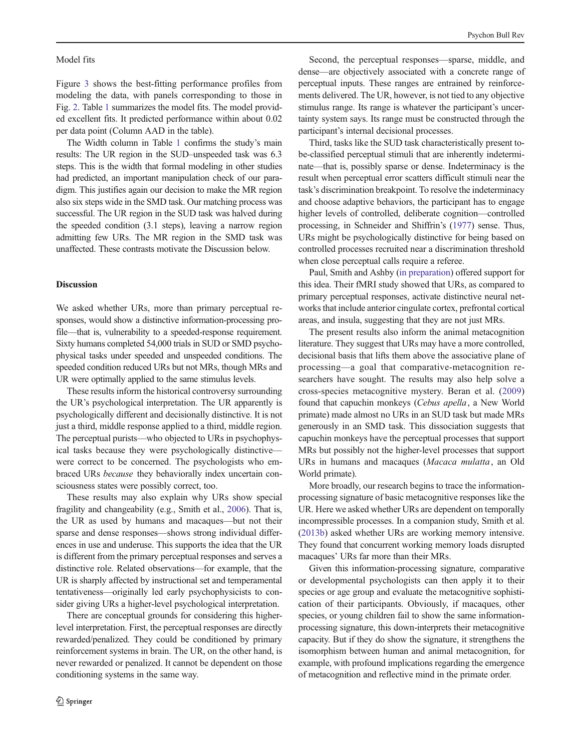# Model fits

Figure 3 shows the best-fitting performance profiles from modeling the data, with panels corresponding to those in Fig. 2. Table 1 summarizes the model fits. The model provided excellent fits. It predicted performance within about 0.02 per data point (Column AAD in the table).

The Width column in Table 1 confirms the study's main results: The UR region in the SUD–unspeeded task was 6.3 steps. This is the width that formal modeling in other studies had predicted, an important manipulation check of our paradigm. This justifies again our decision to make the MR region also six steps wide in the SMD task. Our matching process was successful. The UR region in the SUD task was halved during the speeded condition (3.1 steps), leaving a narrow region admitting few URs. The MR region in the SMD task was unaffected. These contrasts motivate the Discussion below.

#### **Discussion**

We asked whether URs, more than primary perceptual responses, would show a distinctive information-processing profile—that is, vulnerability to a speeded-response requirement. Sixty humans completed 54,000 trials in SUD or SMD psychophysical tasks under speeded and unspeeded conditions. The speeded condition reduced URs but not MRs, though MRs and UR were optimally applied to the same stimulus levels.

These results inform the historical controversy surrounding the UR's psychological interpretation. The UR apparently is psychologically different and decisionally distinctive. It is not just a third, middle response applied to a third, middle region. The perceptual purists—who objected to URs in psychophysical tasks because they were psychologically distinctive were correct to be concerned. The psychologists who embraced URs because they behaviorally index uncertain consciousness states were possibly correct, too.

These results may also explain why URs show special fragility and changeability (e.g., Smith et al., 2006). That is, the UR as used by humans and macaques—but not their sparse and dense responses—shows strong individual differences in use and underuse. This supports the idea that the UR is different from the primary perceptual responses and serves a distinctive role. Related observations—for example, that the UR is sharply affected by instructional set and temperamental tentativeness—originally led early psychophysicists to consider giving URs a higher-level psychological interpretation.

There are conceptual grounds for considering this higherlevel interpretation. First, the perceptual responses are directly rewarded/penalized. They could be conditioned by primary reinforcement systems in brain. The UR, on the other hand, is never rewarded or penalized. It cannot be dependent on those conditioning systems in the same way.

Second, the perceptual responses—sparse, middle, and dense—are objectively associated with a concrete range of perceptual inputs. These ranges are entrained by reinforcements delivered. The UR, however, is not tied to any objective stimulus range. Its range is whatever the participant's uncertainty system says. Its range must be constructed through the participant's internal decisional processes.

Third, tasks like the SUD task characteristically present tobe-classified perceptual stimuli that are inherently indeterminate—that is, possibly sparse or dense. Indeterminacy is the result when perceptual error scatters difficult stimuli near the task's discrimination breakpoint. To resolve the indeterminacy and choose adaptive behaviors, the participant has to engage higher levels of controlled, deliberate cognition—controlled processing, in Schneider and Shiffrin's (1977) sense. Thus, URs might be psychologically distinctive for being based on controlled processes recruited near a discrimination threshold when close perceptual calls require a referee.

Paul, Smith and Ashby (in preparation) offered support for this idea. Their fMRI study showed that URs, as compared to primary perceptual responses, activate distinctive neural networks that include anterior cingulate cortex, prefrontal cortical areas, and insula, suggesting that they are not just MRs.

The present results also inform the animal metacognition literature. They suggest that URs may have a more controlled, decisional basis that lifts them above the associative plane of processing—a goal that comparative-metacognition researchers have sought. The results may also help solve a cross-species metacognitive mystery. Beran et al. (2009) found that capuchin monkeys (Cebus apella, a New World primate) made almost no URs in an SUD task but made MRs generously in an SMD task. This dissociation suggests that capuchin monkeys have the perceptual processes that support MRs but possibly not the higher-level processes that support URs in humans and macaques (Macaca mulatta, an Old World primate).

More broadly, our research begins to trace the informationprocessing signature of basic metacognitive responses like the UR. Here we asked whether URs are dependent on temporally incompressible processes. In a companion study, Smith et al. (2013b) asked whether URs are working memory intensive. They found that concurrent working memory loads disrupted macaques' URs far more than their MRs.

Given this information-processing signature, comparative or developmental psychologists can then apply it to their species or age group and evaluate the metacognitive sophistication of their participants. Obviously, if macaques, other species, or young children fail to show the same informationprocessing signature, this down-interprets their metacognitive capacity. But if they do show the signature, it strengthens the isomorphism between human and animal metacognition, for example, with profound implications regarding the emergence of metacognition and reflective mind in the primate order.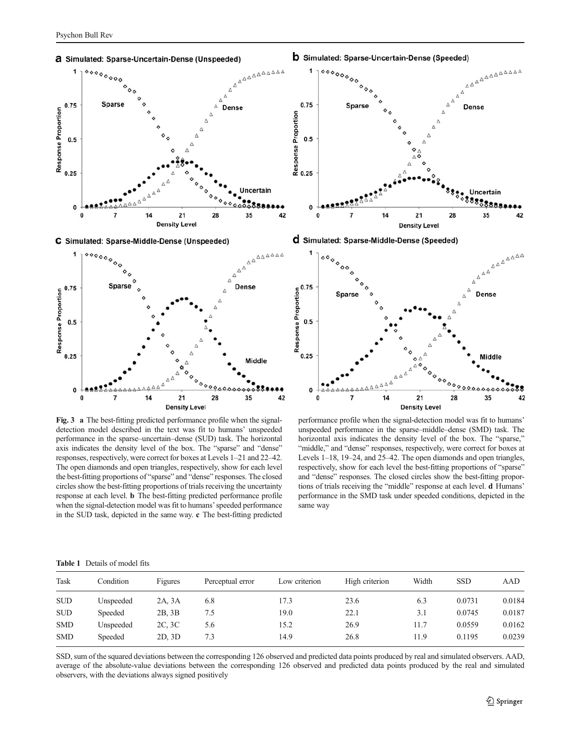



C Simulated: Sparse-Middle-Dense (Unspeeded)



Fig. 3 a The best-fitting predicted performance profile when the signaldetection model described in the text was fit to humans' unspeeded performance in the sparse–uncertain–dense (SUD) task. The horizontal axis indicates the density level of the box. The "sparse" and "dense" responses, respectively, were correct for boxes at Levels 1–21 and 22–42. The open diamonds and open triangles, respectively, show for each level the best-fitting proportions of "sparse" and "dense" responses. The closed circles show the best-fitting proportions of trials receiving the uncertainty response at each level. b The best-fitting predicted performance profile when the signal-detection model was fit to humans'speeded performance in the SUD task, depicted in the same way. c The best-fitting predicted









performance profile when the signal-detection model was fit to humans' unspeeded performance in the sparse–middle–dense (SMD) task. The horizontal axis indicates the density level of the box. The "sparse," "middle," and "dense" responses, respectively, were correct for boxes at Levels 1–18, 19–24, and 25–42. The open diamonds and open triangles, respectively, show for each level the best-fitting proportions of "sparse" and "dense" responses. The closed circles show the best-fitting proportions of trials receiving the "middle" response at each level. d Humans' performance in the SMD task under speeded conditions, depicted in the same way

| <b>Table 1</b> Details of model fits |  |  |
|--------------------------------------|--|--|
|--------------------------------------|--|--|

| Task       | Condition | Figures | Perceptual error | Low criterion | High criterion | Width | <b>SSD</b> | AAD    |
|------------|-----------|---------|------------------|---------------|----------------|-------|------------|--------|
| <b>SUD</b> | Unspeeded | 2A, 3A  | 6.8              | 17.3          | 23.6           | 6.3   | 0.0731     | 0.0184 |
| <b>SUD</b> | Speeded   | 2B, 3B  | 7.5              | 19.0          | 22.1           | 3.1   | 0.0745     | 0.0187 |
| <b>SMD</b> | Unspeeded | 2C. 3C  | 5.6              | 15.2          | 26.9           | 11.7  | 0.0559     | 0.0162 |
| <b>SMD</b> | Speeded   | 2D, 3D  | 7.3              | 14.9          | 26.8           | 11.9  | 0.1195     | 0.0239 |

SSD, sum of the squared deviations between the corresponding 126 observed and predicted data points produced by real and simulated observers. AAD, average of the absolute-value deviations between the corresponding 126 observed and predicted data points produced by the real and simulated observers, with the deviations always signed positively